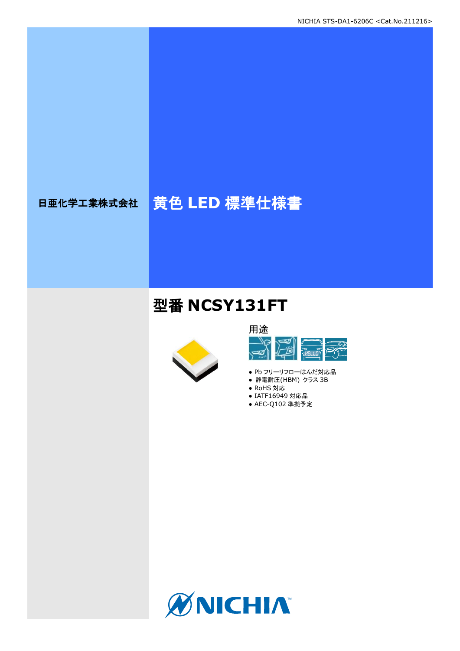# 日亜化学工業株式会社 黄色 **LED** 標準仕様書

# 型番 **NCSY131FT**





- Pb フリーリフローはんだ対応品
- 静電耐圧(HBM) クラス 3B
- RoHS 対応
- IATF16949 対応品 ● AEC-Q102 準拠予定

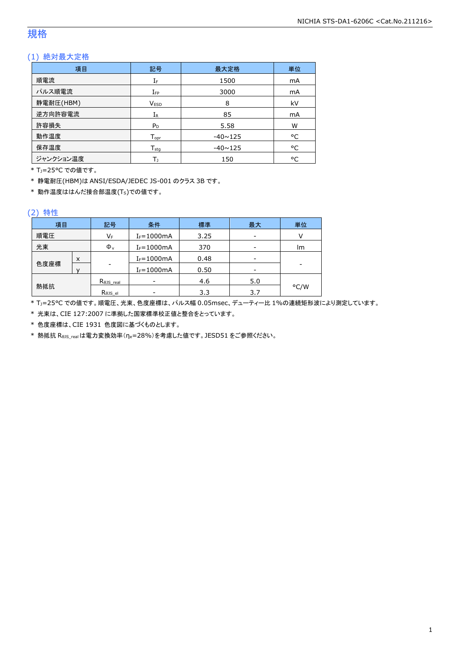## 規格

## (1) 絶対最大定格

| 項目        | 記号                 | 最大定格           | 単位 |
|-----------|--------------------|----------------|----|
| 順電流       | IF                 | 1500           | mA |
| パルス順電流    | $I_{FP}$           | 3000           | mA |
| 静電耐圧(HBM) | <b>VESD</b>        | 8              | kV |
| 逆方向許容電流   | $I_{R}$            | 85             | mA |
| 許容損失      | $P_D$              | 5.58           | W  |
| 動作温度      | $T_{\mathsf{opr}}$ | $-40 \sim 125$ | °C |
| 保存温度      | $T_{sta}$          | $-40 \sim 125$ | °C |
| ジャンクション温度 | Т١                 | 150            | °C |

\* TJ=25°C での値です。

\* 静電耐圧(HBM)は ANSI/ESDA/JEDEC JS-001 のクラス 3B です。

\* 動作温度ははんだ接合部温度(TS)での値です。

### (2) 特性

| 項目   |   | 記号                   | 条件             | 標準   | 最大  | 単位   |
|------|---|----------------------|----------------|------|-----|------|
| 順電圧  |   | VF                   | $I_F = 1000mA$ | 3.25 |     |      |
| 光束   |   | $\Phi_{\rm v}$       | $I_F = 1000mA$ | 370  |     | lm   |
|      | X |                      | $I_F = 1000mA$ | 0.48 |     |      |
| 色度座標 |   | ۰                    | $I_F = 1000mA$ | 0.50 |     | -    |
|      |   | $R_{\theta}$ JS_real |                | 4.6  | 5.0 |      |
| 熱抵抗  |   | Rejs el              |                | 3.3  | 3.7 | °C/W |

\* TJ=25°C での値です。順電圧、光束、色度座標は、パルス幅 0.05msec、デューティー比 1%の連続矩形波により測定しています。

\* 光束は、CIE 127:2007 に準拠した国家標準校正値と整合をとっています。

\* 色度座標は、CIE 1931 色度図に基づくものとします。

\* 熱抵抗 RθJS\_realは電力変換効率(ηe=28%)を考慮した値です。JESD51 をご参照ください。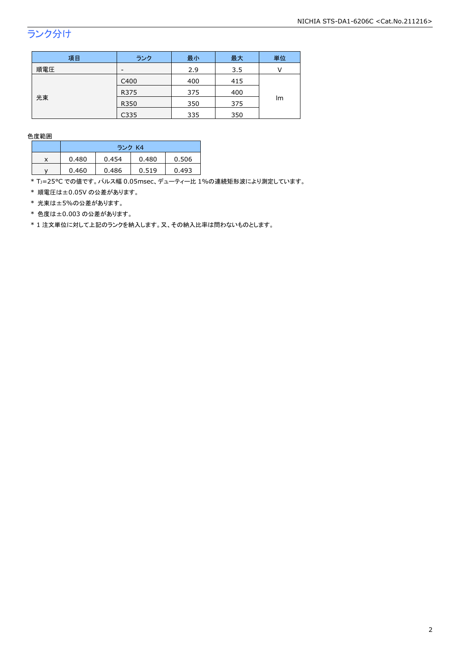## ランク分け

| 項目  | ランク  | 最小  | 最大  | 単位 |  |
|-----|------|-----|-----|----|--|
| 順電圧 | -    | 2.9 | 3.5 |    |  |
|     | C400 | 400 | 415 |    |  |
|     | R375 | 375 | 400 |    |  |
| 光束  | R350 | 350 | 375 | Im |  |
|     | C335 | 335 | 350 |    |  |

#### 色度範囲

|   | ランク K4 |       |       |       |
|---|--------|-------|-------|-------|
| x | 0.480  | 0.454 | 0.480 | 0.506 |
|   | 0.460  | 0.486 | 0.519 | 0.493 |

\* TJ=25°C での値です。パルス幅 0.05msec、デューティー比 1%の連続矩形波により測定しています。

\* 順電圧は±0.05V の公差があります。

\* 光束は±5%の公差があります。

\* 色度は±0.003 の公差があります。

\* 1 注文単位に対して上記のランクを納入します。又、その納入比率は問わないものとします。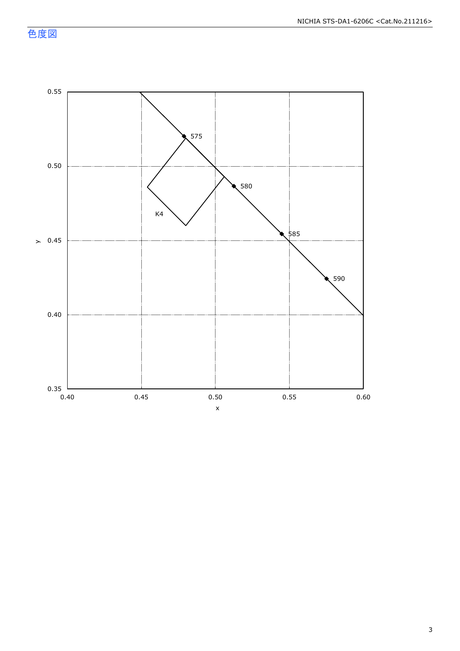色度図

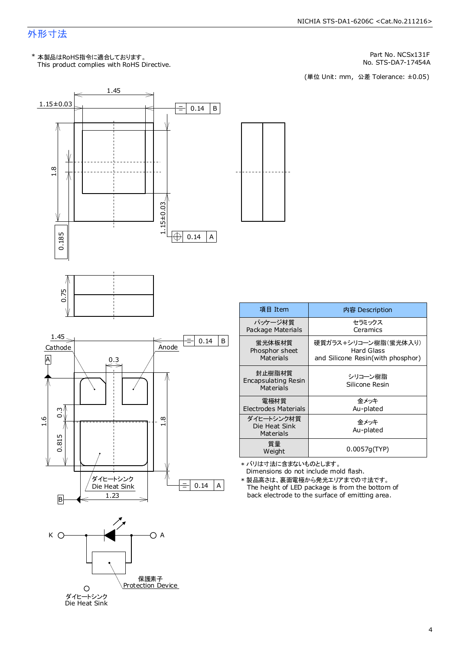## 外形寸法

This product complies with RoHS Directive. \* 本製品はRoHS指令に適合しております。

Part No. NCSx131F

No. STS-DA7-17454A<br>(単位 Unit: mm,公差 Tolerance: ±0.05)







| 項目 Item                                         | 内容 Description                                                          |
|-------------------------------------------------|-------------------------------------------------------------------------|
| パッケージ材質<br>Package Materials                    | セラミックス<br>Ceramics                                                      |
| 蛍光体板材質<br>Phosphor sheet<br>Materials           | 硬質ガラス+シリコーン樹脂(蛍光体入り)<br>Hard Glass<br>and Silicone Resin(with phosphor) |
| 封止樹脂材質<br>Encapsulating Resin<br>Materials      | シリコーン樹脂<br>Silicone Resin                                               |
| 電極材質<br>Electrodes Materials                    | 金メッキ<br>Au-plated                                                       |
| ダイヒートシンク材質<br>Die Heat Sink<br><b>Materials</b> | 金メッキ<br>Au-plated                                                       |
| 質量<br>Weight                                    | 0.0057q(TYP)                                                            |

Dimensions do not include mold flash. \* バリは寸法に含まないものとします。

The height of LED package is from the bottom of back electrode to the surface of emitting area. \* 製品高さは、裏面電極から発光エリアまでの寸法です。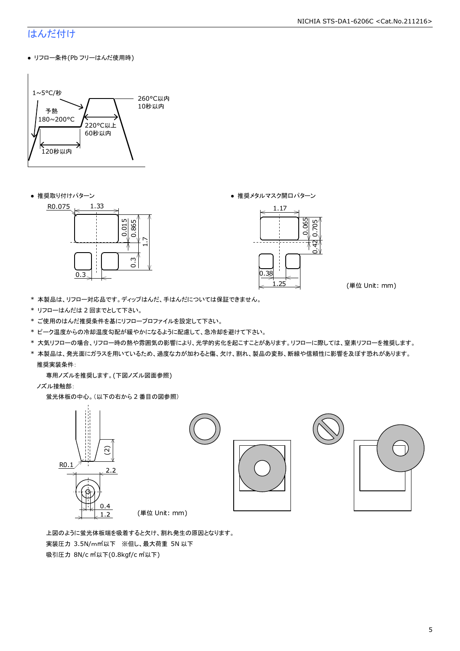## はんだ付け

● リフロー条件(Pb フリーはんだ使用時)



● 推奨取り付けパターン ろんじょう しょうしゃ ゆうしゃ ウィック あんきょう きょうかん きゅうしょく 推奨メタルマスク開口パターン





(単位 Unit: mm)

- \* 本製品は、リフロー対応品です。ディップはんだ、手はんだについては保証できません。
- \* リフローはんだは 2 回までとして下さい。
- \* ご使用のはんだ推奨条件を基にリフロープロファイルを設定して下さい。
- \* ピーク温度からの冷却温度勾配が緩やかになるように配慮して、急冷却を避けて下さい。
- \* 大気リフローの場合、リフロー時の熱や雰囲気の影響により、光学的劣化を起こすことがあります。リフローに際しては、窒素リフローを推奨します。
- \* 本製品は、発光面にガラスを用いているため、過度な力が加わると傷、欠け、割れ、製品の変形、断線や信頼性に影響を及ぼす恐れがあります。 推奨実装条件:

専用ノズルを推奨します。(下図ノズル図面参照)

ノズル接触部:

蛍光体板の中心。(以下の右から 2 番目の図参照)



 上図のように蛍光体板端を吸着すると欠け、割れ発生の原因となります。 実装圧力 3.5N/m㎡以下 ※但し、最大荷重 5N 以下 吸引圧力 8N/c ㎡以下(0.8kgf/c ㎡以下)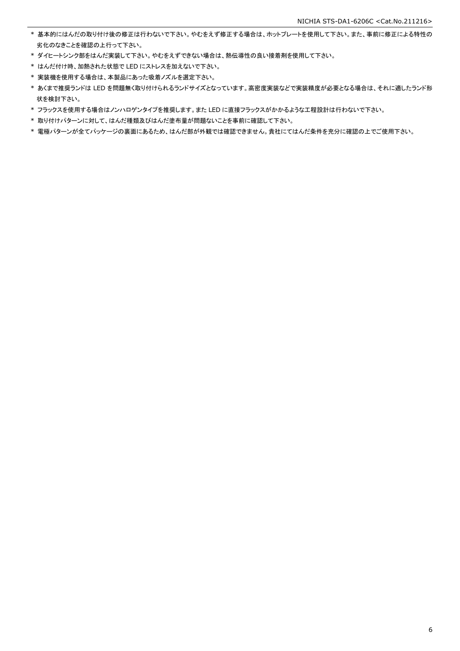- \* 基本的にはんだの取り付け後の修正は行わないで下さい。やむをえず修正する場合は、ホットプレートを使用して下さい。また、事前に修正による特性の 劣化のなきことを確認の上行って下さい。
- \* ダイヒートシンク部をはんだ実装して下さい。やむをえずできない場合は、熱伝導性の良い接着剤を使用して下さい。
- \* はんだ付け時、加熱された状態で LED にストレスを加えないで下さい。
- \* 実装機を使用する場合は、本製品にあった吸着ノズルを選定下さい。
- \* あくまで推奨ランドは LED を問題無く取り付けられるランドサイズとなっています。高密度実装などで実装精度が必要となる場合は、それに適したランド形 状を検討下さい。
- \* フラックスを使用する場合はノンハロゲンタイプを推奨します。また LED に直接フラックスがかかるような工程設計は行わないで下さい。
- \* 取り付けパターンに対して、はんだ種類及びはんだ塗布量が問題ないことを事前に確認して下さい。
- \* 電極パターンが全てパッケージの裏面にあるため、はんだ部が外観では確認できません。貴社にてはんだ条件を充分に確認の上でご使用下さい。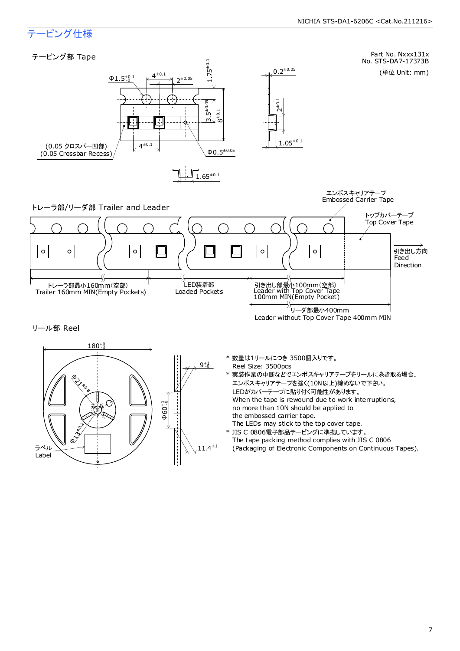## テーピング仕様

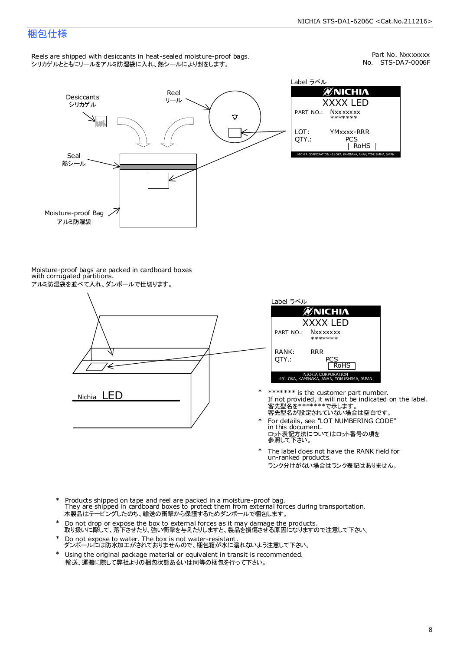## 梱包仕様

Reels are shipped with desiccants in heat-sealed moisture-proof bags. シリカゲルとともにリールをアルミ防湿袋に入れ、熱シールにより封をします。

No. STS-DA7-0006F Part No. Nxxxxxxx



| Label ラベル                                                    |                                  |  |  |  |
|--------------------------------------------------------------|----------------------------------|--|--|--|
| ØNICHIA                                                      |                                  |  |  |  |
| XXXX LED                                                     |                                  |  |  |  |
|                                                              | PART NO.: NXXXXXXX<br>*******    |  |  |  |
| LOT:<br>OTY.:                                                | YMxxxx-RRR<br>PCS<br><b>RoHS</b> |  |  |  |
| NICHIA CORPORATION 491 OKA, KAMINAKA, ANAN, TOKUSHIMA, JAPAN |                                  |  |  |  |

Moisture-proof bags are packed in cardboard boxes with corrugated partitions. アルミ防湿袋を並べて入れ、ダンボールで仕切ります。





- 客先型名を\*\*\*\*\*\*\*\*で示します。<br>客先型名が設定されていない場合は空白です。 If not provided, it will not be indicated on the label. \*\*\*\*\*\*\* is the customer part number.
- For details, see "LOT NUMBERING CODE" in this document. ロット表記方法についてはロット番号の項を<br>参照して下さい。 \*
- The label does not have the RANK field for un-ranked products. ランク分けがない場合はランク表記はありません。 \*
- Products shipped on tape and reel are packed in a moisture-proof bag. They are shipped in cardboard boxes to protect them from external forces during transportation. 本製品はテーピングしたのち、輸送の衝撃から保護するためダンボールで梱包します。 \*
- Do not drop or expose the box to external forces as it may damage the products. 取り扱いに際して、落下させたり、強い衝撃を与えたりしますと、製品を損傷させる原因になりますので注意して下さい。 \*
- Do not expose to water. The box is not water-resistant. ダンボールには防水加工がされておりませんので、梱包箱が水に濡れないよう注意して下さい。 \*
- \* Using the original package material or equivalent in transit is recommended. 輸送、運搬に際して弊社よりの梱包状態あるいは同等の梱包を行って下さい。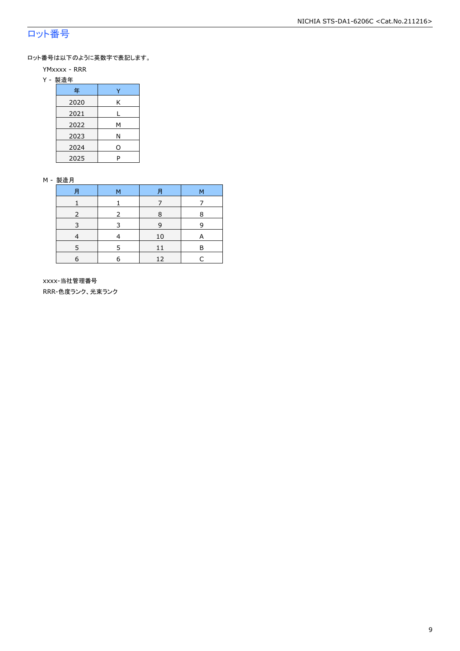## ロット番号

ロット番号は以下のように英数字で表記します。

- YMxxxx RRR
- Y 製造年

| 年    |   |
|------|---|
| 2020 | Κ |
| 2021 |   |
| 2022 | м |
| 2023 | Ν |
| 2024 | 0 |
| 2025 | P |

#### M - 製造月

|   | M | F  | М |
|---|---|----|---|
|   |   |    |   |
|   | 2 | 8  | 8 |
|   |   | q  | q |
|   |   | 10 |   |
|   |   |    | в |
| 6 |   | 12 |   |

 xxxx-当社管理番号 RRR-色度ランク、光束ランク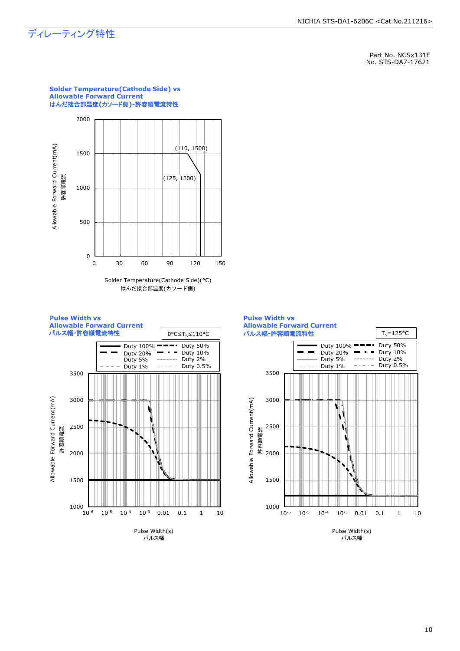## ディレーティング特性

Part No. NCSx131F No. STS-DA7-17621



**Solder Temperature(Cathode Side) vs** 

**Allowable Forward Current**

#### Solder Temperature(Cathode Side)(°C) はんだ接合部温度(カソード側)



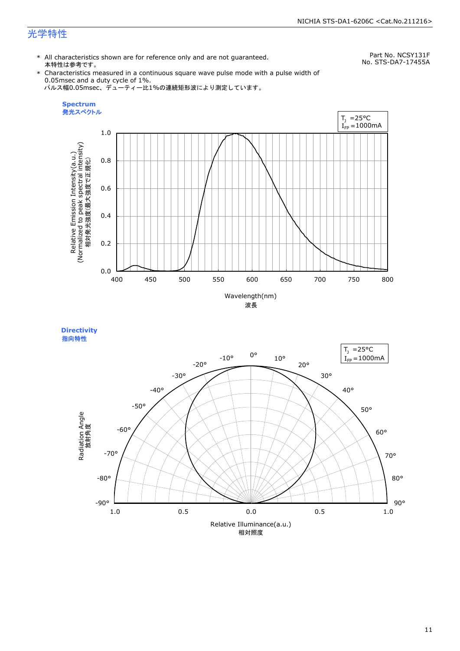## 光学特性

\* All characteristics shown are for reference only and are not guaranteed. 本特性は参考です。

Part No. NCSY131F No. STS-DA7-17455A

\* Characteristics measured in a continuous square wave pulse mode with a pulse width of 0.05msec and a duty cycle of 1%. パルス幅0.05msec、デューティー比1%の連続矩形波により測定しています。



**Directivity**  指向特性

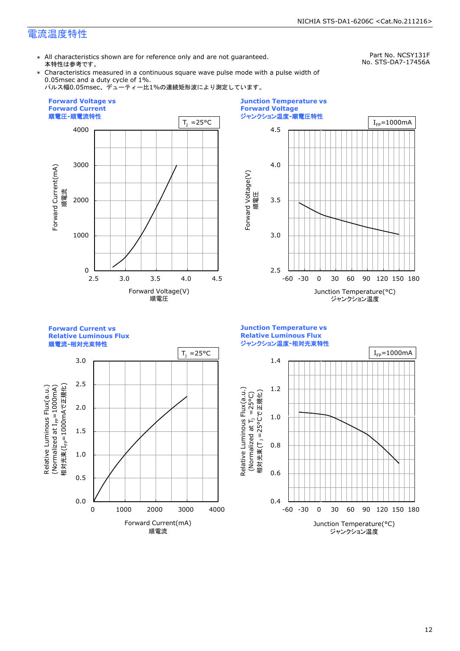## 電流温度特性

\* All characteristics shown are for reference only and are not guaranteed. 本特性は参考です。

Part No. NCSY131F No. STS-DA7-17456A

\* Characteristics measured in a continuous square wave pulse mode with a pulse width of 0.05msec and a duty cycle of 1%.

パルス幅0.05msec、デューティー比1%の連続矩形波により測定しています。





**Forward Current vs Relative Luminous Flux**





**Junction Temperature vs Relative Luminous Flux** ジャンクション温度**-**相対光束特性

Relative Luminous Flux(a.u.)

Relative Luminous Flux(a.u.)

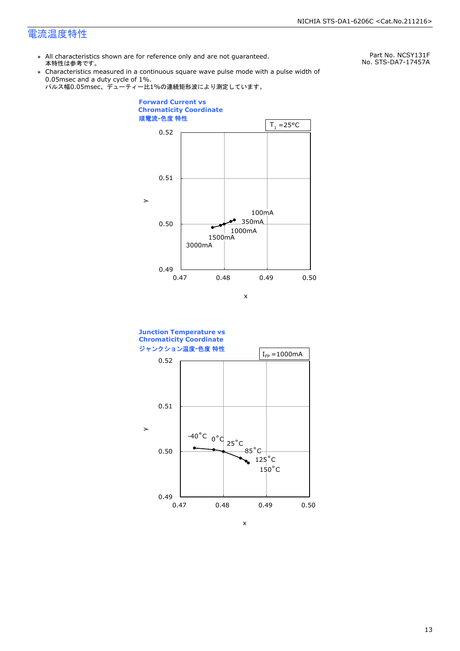## 電流温度特性

\* All characteristics shown are for reference only and are not guaranteed. 本特性は参考です。

Part No. NCSY131F No. STS-DA7-17457A

\* Characteristics measured in a continuous square wave pulse mode with a pulse width of 0.05msec and a duty cycle of 1%.







x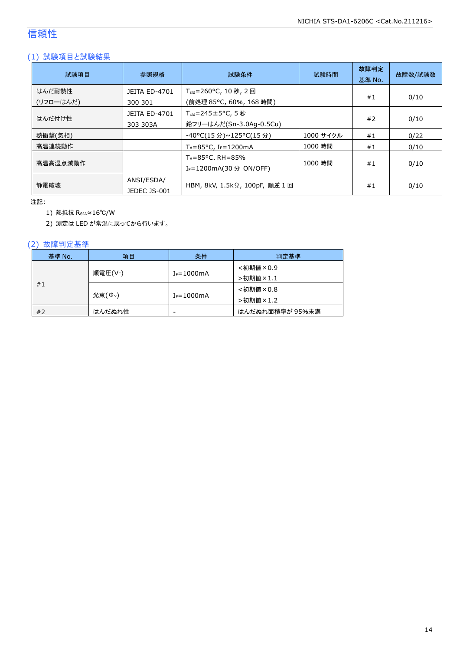## 信頼性

## (1) 試験項目と試験結果

| 試験項目                | 参照規格                             | 試験条件                                                              | 試験時間      | 故障判定<br>基準 No. | 故障数/試験数 |
|---------------------|----------------------------------|-------------------------------------------------------------------|-----------|----------------|---------|
| はんだ耐熱性<br>(リフローはんだ) | JEITA ED-4701<br>300 301         | T <sub>sld</sub> =260°C, 10 秒, 2 回<br>(前処理 85℃, 60%, 168 時間)      |           | #1             | 0/10    |
| はんだ付け性              | <b>JEITA ED-4701</b><br>303 303A | $T_{\text{std}}$ =245±5°C, 5秒<br>鉛フリーはんだ(Sn-3.0Ag-0.5Cu)          |           | #2             | 0/10    |
| 熱衝撃(気相)             |                                  | -40°C(15 分)~125°C(15 分)                                           | 1000 サイクル | #1             | 0/22    |
| 高温連続動作              |                                  | $T_A = 85^{\circ}$ C, I <sub>F</sub> =1200mA                      | 1000 時間   | #1             | 0/10    |
| 高温高湿点滅動作            |                                  | $T_A = 85$ °C, RH $= 85\%$<br>I <sub>F</sub> =1200mA(30 分 ON/OFF) | 1000 時間   | #1             | 0/10    |
| 静雷破壊                | ANSI/ESDA/<br>JEDEC JS-001       | HBM, 8kV, 1.5kΩ, 100pF, 順逆 1 回                                    |           | #1             | 0/10    |

注記:

1) 熱抵抗 RθJA≈16℃/W

2) 測定は LED が常温に戻ってから行います。

## (2) 故障判定基準

| 基準 No. | 項目                  | 条件              | 判定基準            |
|--------|---------------------|-----------------|-----------------|
|        |                     |                 | <初期値×0.9        |
| #1     | 順電圧(VF)             | $I_F = 1000mA$  | >初期値×1.1        |
|        |                     |                 | <初期値×0.8        |
|        | 光束(Φ <sub>ν</sub> ) | $I_F = 1000$ mA | >初期値×1.2        |
| #2     | はんだぬれ性              | -               | はんだぬれ面積率が 95%未満 |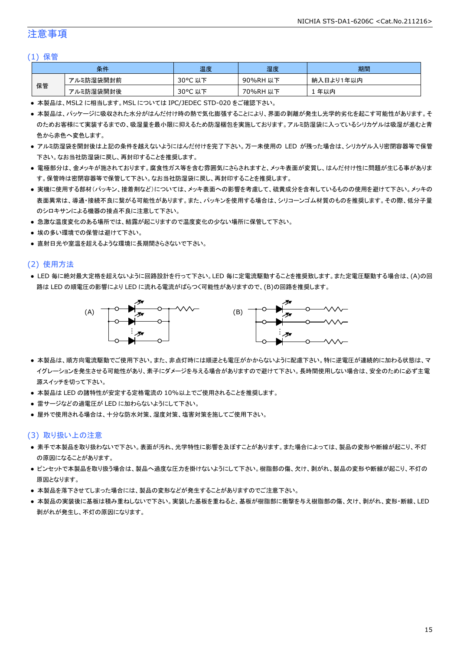## 注意事項

#### (1) 保管

|    | 条件        | 温度                     | 湿度          | 期間              |
|----|-----------|------------------------|-------------|-----------------|
|    | アルミ防湿袋開封前 | $30^{\circ}$ C<br>以下   | 90%RH<br>以下 | ∛入日より1年以内<br>納. |
| 保管 | アルミ防湿袋開封後 | $30^{\circ}$ C<br>. 以下 | 70%RH<br>以下 | 年以内             |

● 本製品は、MSL2 に相当します。MSL については IPC/JEDEC STD-020 をご確認下さい。

- 本製品は、パッケージに吸収された水分がはんだ付け時の熱で気化膨張することにより、界面の剥離が発生し光学的劣化を起こす可能性があります。そ のためお客様にて実装するまでの、吸湿量を最小限に抑えるため防湿梱包を実施しております。アルミ防湿袋に入っているシリカゲルは吸湿が進むと青 色から赤色へ変色します。
- アルミ防湿袋を開封後は上記の条件を越えないようにはんだ付けを完了下さい。万一未使用の LED が残った場合は、シリカゲル入り密閉容器等で保管 下さい。なお当社防湿袋に戻し、再封印することを推奨します。
- 電極部分は、金メッキが施されております。腐食性ガス等を含む雰囲気にさらされますと、メッキ表面が変質し、はんだ付け性に問題が生じる事がありま す。保管時は密閉容器等で保管して下さい。なお当社防湿袋に戻し、再封印することを推奨します。
- 実機に使用する部材(パッキン、接着剤など)については、メッキ表面への影響を考慮して、硫黄成分を含有しているものの使用を避けて下さい。メッキの 表面異常は、導通・接続不良に繋がる可能性があります。また、パッキンを使用する場合は、シリコーンゴム材質のものを推奨します。その際、低分子量 のシロキサンによる機器の接点不良に注意して下さい。
- 急激な温度変化のある場所では、結露が起こりますので温度変化の少ない場所に保管して下さい。
- 埃の多い環境での保管は避けて下さい。
- 直射日光や室温を超えるような環境に長期間さらさないで下さい。

#### (2) 使用方法

● LED 毎に絶対最大定格を超えないように回路設計を行って下さい。LED 毎に定電流駆動することを推奨致します。また定電圧駆動する場合は、(A)の回 路は LED の順電圧の影響により LED に流れる電流がばらつく可能性がありますので、(B)の回路を推奨します。



- 本製品は、順方向電流駆動でご使用下さい。また、非点灯時には順逆とも電圧がかからないように配慮下さい。特に逆電圧が連続的に加わる状態は、マ イグレーションを発生させる可能性があり、素子にダメージを与える場合がありますので避けて下さい。長時間使用しない場合は、安全のために必ず主電 源スイッチを切って下さい。
- 本製品は LED の諸特性が安定する定格電流の 10%以上でご使用されることを推奨します。
- 雷サージなどの過電圧が LED に加わらないようにして下さい。
- 屋外で使用される場合は、十分な防水対策、湿度対策、塩害対策を施してご使用下さい。

#### (3) 取り扱い上の注意

- 素手で本製品を取り扱わないで下さい。表面が汚れ、光学特性に影響を及ぼすことがあります。また場合によっては、製品の変形や断線が起こり、不灯 の原因になることがあります。
- ピンセットで本製品を取り扱う場合は、製品へ過度な圧力を掛けないようにして下さい。樹脂部の傷、欠け、剥がれ、製品の変形や断線が起こり、不灯の 原因となります。
- 本製品を落下させてしまった場合には、製品の変形などが発生することがありますのでご注意下さい。
- 本製品の実装後に基板は積み重ねしないで下さい。実装した基板を重ねると、基板が樹脂部に衝撃を与え樹脂部の傷、欠け、剥がれ、変形・断線、LED 剥がれが発生し、不灯の原因になります。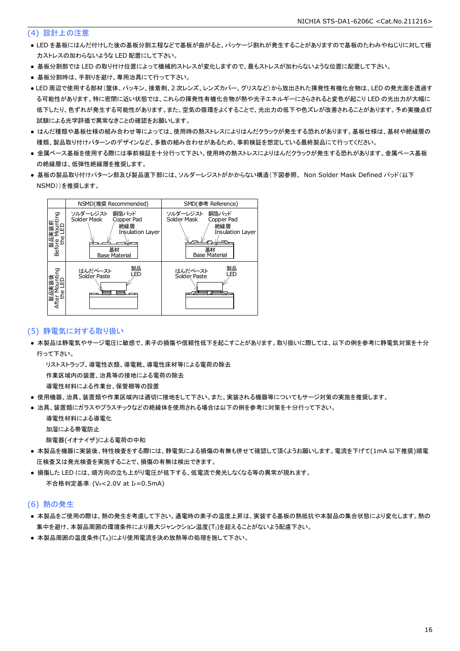### (4) 設計上の注意

- LED を基板にはんだ付けした後の基板分割工程などで基板が曲がると、パッケージ割れが発生することがありますので基板のたわみやねじりに対して極 力ストレスの加わらないような LED 配置にして下さい。
- 基板分割部では LED の取り付け位置によって機械的ストレスが変化しますので、最もストレスが加わらないような位置に配置して下さい。
- 基板分割時は、手割りを避け、専用治具にて行って下さい。
- LED 周辺で使用する部材(筐体、パッキン、接着剤、2 次レンズ、レンズカバー、グリスなど)から放出された揮発性有機化合物は、LED の発光面を透過す る可能性があります。特に密閉に近い状態では、これらの揮発性有機化合物が熱や光子エネルギーにさらされると変色が起こり LED の光出力が大幅に 低下したり、色ずれが発生する可能性があります。また、空気の循環をよくすることで、光出力の低下や色ズレが改善されることがあります。予め実機点灯 試験による光学評価で異常なきことの確認をお願いします。
- はんだ種類や基板仕様の組み合わせ等によっては、使用時の熱ストレスによりはんだクラックが発生する恐れがあります。基板仕様は、基材や絶縁層の 種類、製品取り付けパターンのデザインなど、多数の組み合わせがあるため、事前検証を想定している最終製品にて行ってください。
- 金属ベース基板を使用する際には事前検証を十分行って下さい。使用時の熱ストレスによりはんだクラックが発生する恐れがあります。金属ベース基板 の絶縁層は、低弾性絶縁層を推奨します。
- 基板の製品取り付けパターン部及び製品直下部には、ソルダーレジストがかからない構造(下図参照、 Non Solder Mask Defined パッド(以下 NSMD))を推奨します。



### (5) 静電気に対する取り扱い

● 本製品は静電気やサージ電圧に敏感で、素子の損傷や信頼性低下を起こすことがあります。取り扱いに際しては、以下の例を参考に静電気対策を十分 行って下さい。

 リストストラップ、導電性衣類、導電靴、導電性床材等による電荷の除去 作業区域内の装置、治具等の接地による電荷の除去

導電性材料による作業台、保管棚等の設置

- 使用機器、治具、装置類や作業区域内は適切に接地をして下さい。また、実装される機器等についてもサージ対策の実施を推奨します。
- 治具、装置類にガラスやプラスチックなどの絶縁体を使用される場合は以下の例を参考に対策を十分行って下さい。

 導電性材料による導電化 加湿による帯電防止

除電器(イオナイザ)による電荷の中和

- 本製品を機器に実装後、特性検査をする際には、静電気による損傷の有無も併せて確認して頂くようお願いします。電流を下げて(1mA 以下推奨)順電 圧検査又は発光検査を実施することで、損傷の有無は検出できます。
- 損傷した LED には、順方向の立ち上がり電圧が低下する、低電流で発光しなくなる等の異常が現れます。 不合格判定基準: (VF<2.0V at IF=0.5mA)

#### (6) 熱の発生

- 本製品をご使用の際は、熱の発生を考慮して下さい。通電時の素子の温度上昇は、実装する基板の熱抵抗や本製品の集合状態により変化します。熱の 集中を避け、本製品周囲の環境条件により最大ジャンクション温度(TJ)を超えることがないよう配慮下さい。
- 本製品周囲の温度条件(TA)により使用電流を決め放熱等の処理を施して下さい。